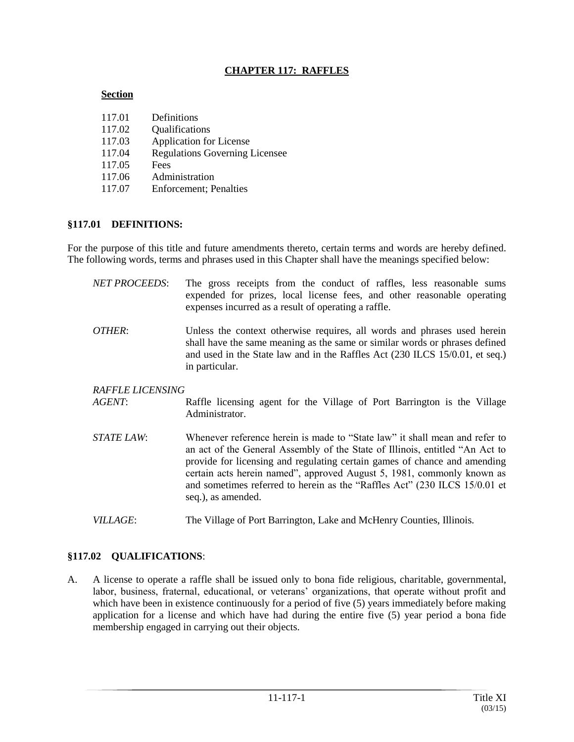## **CHAPTER 117: RAFFLES**

#### **Section**

| 117.01 | Definitions                           |
|--------|---------------------------------------|
| 117.02 | Qualifications                        |
| 117.03 | <b>Application for License</b>        |
| 117.04 | <b>Regulations Governing Licensee</b> |
| 117.05 | Fees                                  |
| 117.06 | Administration                        |
| 117.07 | <b>Enforcement</b> ; Penalties        |

#### **§117.01 DEFINITIONS:**

For the purpose of this title and future amendments thereto, certain terms and words are hereby defined. The following words, terms and phrases used in this Chapter shall have the meanings specified below:

| <b>NET PROCEEDS:</b>    | The gross receipts from the conduct of raffles, less reasonable sums<br>expended for prizes, local license fees, and other reasonable operating<br>expenses incurred as a result of operating a raffle.                                                   |
|-------------------------|-----------------------------------------------------------------------------------------------------------------------------------------------------------------------------------------------------------------------------------------------------------|
| OTHER:                  | Unless the context otherwise requires, all words and phrases used herein<br>shall have the same meaning as the same or similar words or phrases defined<br>and used in the State law and in the Raffles Act (230 ILCS 15/0.01, et seq.)<br>in particular. |
| <b>RAFFLE LICENSING</b> |                                                                                                                                                                                                                                                           |
| AGENT:                  | Raffle licensing agent for the Village of Port Barrington is the Village<br>Administrator.                                                                                                                                                                |
| <i>STATE LAW:</i>       | Whenever reference herein is made to "State law" it shall mean and refer to<br>an act of the General Assembly of the State of Illinois, entitled "An Act to<br>provide for licensing and requising certain games of chance and amonding                   |

- provide for licensing and regulating certain games of chance and amending certain acts herein named", approved August 5, 1981, commonly known as and sometimes referred to herein as the "Raffles Act" (230 ILCS 15/0.01 et seq.), as amended.
- *VILLAGE*: The Village of Port Barrington, Lake and McHenry Counties, Illinois.

# **§117.02 QUALIFICATIONS**:

A. A license to operate a raffle shall be issued only to bona fide religious, charitable, governmental, labor, business, fraternal, educational, or veterans' organizations, that operate without profit and which have been in existence continuously for a period of five (5) years immediately before making application for a license and which have had during the entire five (5) year period a bona fide membership engaged in carrying out their objects.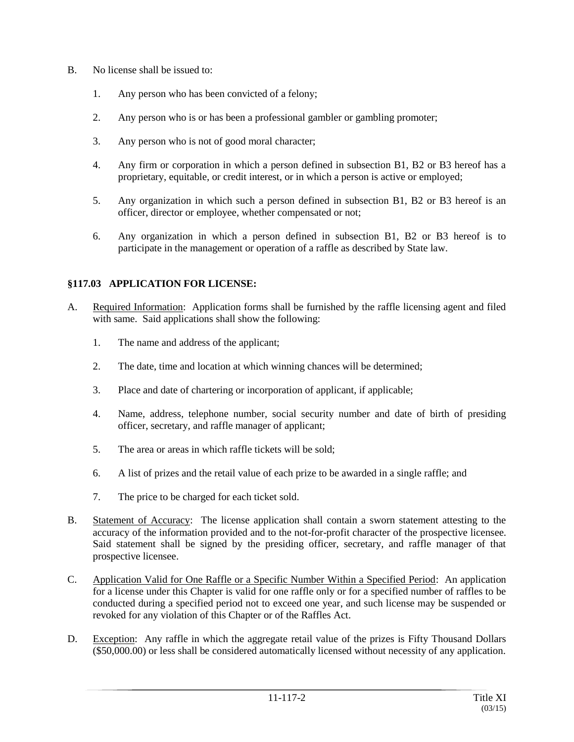- B. No license shall be issued to:
	- 1. Any person who has been convicted of a felony;
	- 2. Any person who is or has been a professional gambler or gambling promoter;
	- 3. Any person who is not of good moral character;
	- 4. Any firm or corporation in which a person defined in subsection B1, B2 or B3 hereof has a proprietary, equitable, or credit interest, or in which a person is active or employed;
	- 5. Any organization in which such a person defined in subsection B1, B2 or B3 hereof is an officer, director or employee, whether compensated or not;
	- 6. Any organization in which a person defined in subsection B1, B2 or B3 hereof is to participate in the management or operation of a raffle as described by State law.

# **§117.03 APPLICATION FOR LICENSE:**

- A. Required Information: Application forms shall be furnished by the raffle licensing agent and filed with same. Said applications shall show the following:
	- 1. The name and address of the applicant;
	- 2. The date, time and location at which winning chances will be determined;
	- 3. Place and date of chartering or incorporation of applicant, if applicable;
	- 4. Name, address, telephone number, social security number and date of birth of presiding officer, secretary, and raffle manager of applicant;
	- 5. The area or areas in which raffle tickets will be sold;
	- 6. A list of prizes and the retail value of each prize to be awarded in a single raffle; and
	- 7. The price to be charged for each ticket sold.
- B. Statement of Accuracy: The license application shall contain a sworn statement attesting to the accuracy of the information provided and to the not-for-profit character of the prospective licensee. Said statement shall be signed by the presiding officer, secretary, and raffle manager of that prospective licensee.
- C. Application Valid for One Raffle or a Specific Number Within a Specified Period: An application for a license under this Chapter is valid for one raffle only or for a specified number of raffles to be conducted during a specified period not to exceed one year, and such license may be suspended or revoked for any violation of this Chapter or of the Raffles Act.
- D. Exception: Any raffle in which the aggregate retail value of the prizes is Fifty Thousand Dollars (\$50,000.00) or less shall be considered automatically licensed without necessity of any application.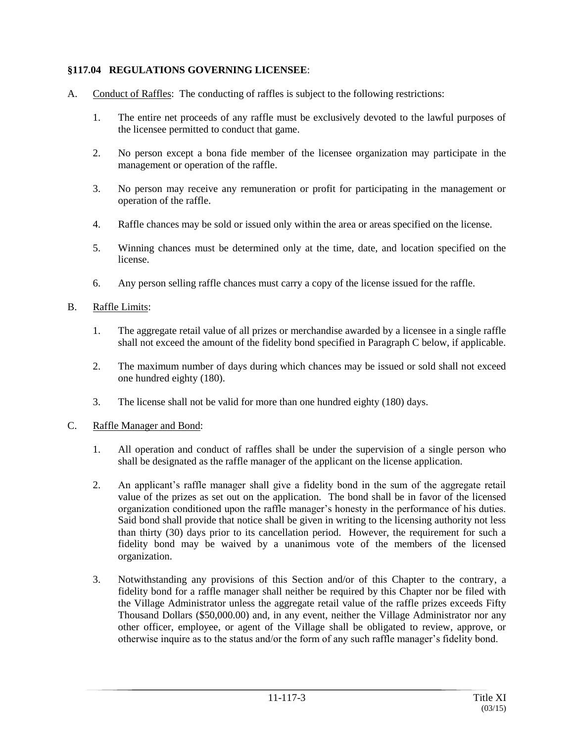# **§117.04 REGULATIONS GOVERNING LICENSEE**:

- A. Conduct of Raffles: The conducting of raffles is subject to the following restrictions:
	- 1. The entire net proceeds of any raffle must be exclusively devoted to the lawful purposes of the licensee permitted to conduct that game.
	- 2. No person except a bona fide member of the licensee organization may participate in the management or operation of the raffle.
	- 3. No person may receive any remuneration or profit for participating in the management or operation of the raffle.
	- 4. Raffle chances may be sold or issued only within the area or areas specified on the license.
	- 5. Winning chances must be determined only at the time, date, and location specified on the license.
	- 6. Any person selling raffle chances must carry a copy of the license issued for the raffle.

#### B. Raffle Limits:

- 1. The aggregate retail value of all prizes or merchandise awarded by a licensee in a single raffle shall not exceed the amount of the fidelity bond specified in Paragraph C below, if applicable.
- 2. The maximum number of days during which chances may be issued or sold shall not exceed one hundred eighty (180).
- 3. The license shall not be valid for more than one hundred eighty (180) days.

#### C. Raffle Manager and Bond:

- 1. All operation and conduct of raffles shall be under the supervision of a single person who shall be designated as the raffle manager of the applicant on the license application.
- 2. An applicant's raffle manager shall give a fidelity bond in the sum of the aggregate retail value of the prizes as set out on the application. The bond shall be in favor of the licensed organization conditioned upon the raffle manager's honesty in the performance of his duties. Said bond shall provide that notice shall be given in writing to the licensing authority not less than thirty (30) days prior to its cancellation period. However, the requirement for such a fidelity bond may be waived by a unanimous vote of the members of the licensed organization.
- 3. Notwithstanding any provisions of this Section and/or of this Chapter to the contrary, a fidelity bond for a raffle manager shall neither be required by this Chapter nor be filed with the Village Administrator unless the aggregate retail value of the raffle prizes exceeds Fifty Thousand Dollars (\$50,000.00) and, in any event, neither the Village Administrator nor any other officer, employee, or agent of the Village shall be obligated to review, approve, or otherwise inquire as to the status and/or the form of any such raffle manager's fidelity bond.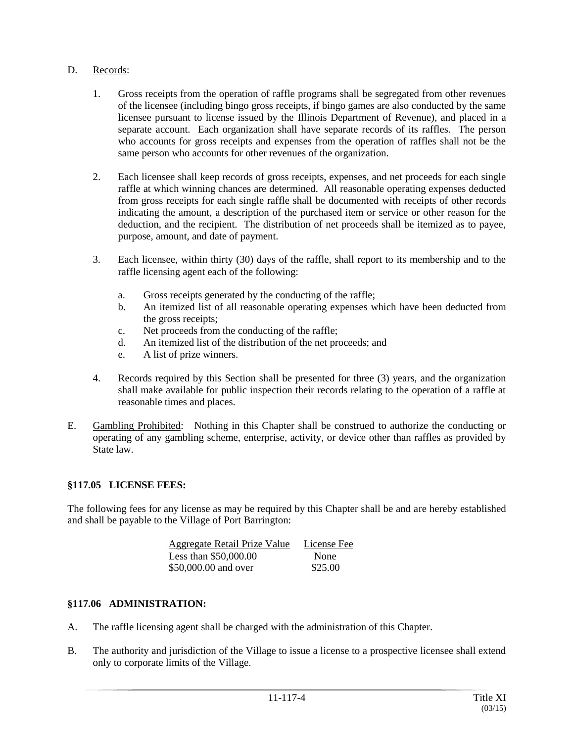## D. Records:

- 1. Gross receipts from the operation of raffle programs shall be segregated from other revenues of the licensee (including bingo gross receipts, if bingo games are also conducted by the same licensee pursuant to license issued by the Illinois Department of Revenue), and placed in a separate account. Each organization shall have separate records of its raffles. The person who accounts for gross receipts and expenses from the operation of raffles shall not be the same person who accounts for other revenues of the organization.
- 2. Each licensee shall keep records of gross receipts, expenses, and net proceeds for each single raffle at which winning chances are determined. All reasonable operating expenses deducted from gross receipts for each single raffle shall be documented with receipts of other records indicating the amount, a description of the purchased item or service or other reason for the deduction, and the recipient. The distribution of net proceeds shall be itemized as to payee, purpose, amount, and date of payment.
- 3. Each licensee, within thirty (30) days of the raffle, shall report to its membership and to the raffle licensing agent each of the following:
	- a. Gross receipts generated by the conducting of the raffle;
	- b. An itemized list of all reasonable operating expenses which have been deducted from the gross receipts;
	- c. Net proceeds from the conducting of the raffle;
	- d. An itemized list of the distribution of the net proceeds; and
	- e. A list of prize winners.
- 4. Records required by this Section shall be presented for three (3) years, and the organization shall make available for public inspection their records relating to the operation of a raffle at reasonable times and places.
- E. Gambling Prohibited: Nothing in this Chapter shall be construed to authorize the conducting or operating of any gambling scheme, enterprise, activity, or device other than raffles as provided by State law.

### **§117.05 LICENSE FEES:**

The following fees for any license as may be required by this Chapter shall be and are hereby established and shall be payable to the Village of Port Barrington:

| <b>Aggregate Retail Prize Value</b> | License Fee |
|-------------------------------------|-------------|
| Less than $$50,000.00$              | None        |
| \$50,000.00 and over                | \$25.00     |

### **§117.06 ADMINISTRATION:**

- A. The raffle licensing agent shall be charged with the administration of this Chapter.
- B. The authority and jurisdiction of the Village to issue a license to a prospective licensee shall extend only to corporate limits of the Village.